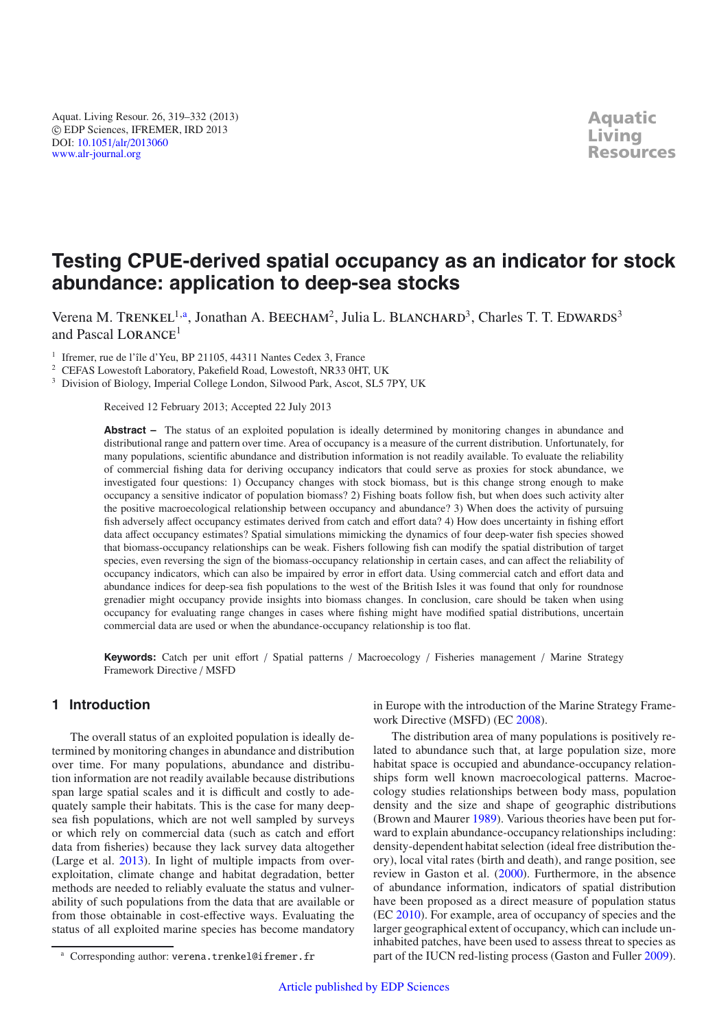# **Testing CPUE-derived spatial occupancy as an indicator for stock abundance: application to deep-sea stocks**

Verena M. TRENKEL<sup>1,a</sup>, Jonathan A. BEECHAM<sup>2</sup>, Julia L. BLANCHARD<sup>3</sup>, Charles T. T. EDWARDS<sup>3</sup> and Pascal LORANCE<sup>1</sup>

<sup>1</sup> Ifremer, rue de l'île d'Yeu, BP 21105, 44311 Nantes Cedex 3, France

<sup>2</sup> CEFAS Lowestoft Laboratory, Pakefield Road, Lowestoft, NR33 0HT, UK

<sup>3</sup> Division of Biology, Imperial College London, Silwood Park, Ascot, SL5 7PY, UK

Received 12 February 2013; Accepted 22 July 2013

**Abstract –** The status of an exploited population is ideally determined by monitoring changes in abundance and distributional range and pattern over time. Area of occupancy is a measure of the current distribution. Unfortunately, for many populations, scientific abundance and distribution information is not readily available. To evaluate the reliability of commercial fishing data for deriving occupancy indicators that could serve as proxies for stock abundance, we investigated four questions: 1) Occupancy changes with stock biomass, but is this change strong enough to make occupancy a sensitive indicator of population biomass? 2) Fishing boats follow fish, but when does such activity alter the positive macroecological relationship between occupancy and abundance? 3) When does the activity of pursuing fish adversely affect occupancy estimates derived from catch and effort data? 4) How does uncertainty in fishing effort data affect occupancy estimates? Spatial simulations mimicking the dynamics of four deep-water fish species showed that biomass-occupancy relationships can be weak. Fishers following fish can modify the spatial distribution of target species, even reversing the sign of the biomass-occupancy relationship in certain cases, and can affect the reliability of occupancy indicators, which can also be impaired by error in effort data. Using commercial catch and effort data and abundance indices for deep-sea fish populations to the west of the British Isles it was found that only for roundnose grenadier might occupancy provide insights into biomass changes. In conclusion, care should be taken when using occupancy for evaluating range changes in cases where fishing might have modified spatial distributions, uncertain commercial data are used or when the abundance-occupancy relationship is too flat.

**Keywords:** Catch per unit effort / Spatial patterns / Macroecology / Fisheries management / Marine Strategy Framework Directive / MSFD

# **1 Introduction**

The overall status of an exploited population is ideally determined by monitoring changes in abundance and distribution over time. For many populations, abundance and distribution information are not readily available because distributions span large spatial scales and it is difficult and costly to adequately sample their habitats. This is the case for many deepsea fish populations, which are not well sampled by surveys or which rely on commercial data (such as catch and effort data from fisheries) because they lack survey data altogether (Large et al. [2013\)](#page-13-0). In light of multiple impacts from overexploitation, climate change and habitat degradation, better methods are needed to reliably evaluate the status and vulnerability of such populations from the data that are available or from those obtainable in cost-effective ways. Evaluating the status of all exploited marine species has become mandatory in Europe with the introduction of the Marine Strategy Framework Directive (MSFD) (EC [2008](#page-12-0)).

The distribution area of many populations is positively related to abundance such that, at large population size, more habitat space is occupied and abundance-occupancy relationships form well known macroecological patterns. Macroecology studies relationships between body mass, population density and the size and shape of geographic distributions (Brown and Maurer [1989](#page-12-1)). Various theories have been put forward to explain abundance-occupancy relationships including: density-dependent habitat selection (ideal free distribution theory), local vital rates (birth and death), and range position, see review in Gaston et al. [\(2000\)](#page-13-1). Furthermore, in the absence of abundance information, indicators of spatial distribution have been proposed as a direct measure of population status (EC [2010\)](#page-12-2). For example, area of occupancy of species and the larger geographical extent of occupancy, which can include uninhabited patches, have been used to assess threat to species as part of the IUCN red-listing process (Gaston and Fuller [2009\)](#page-13-2).

<sup>&</sup>lt;sup>a</sup> Corresponding author: verena.trenkel@ifremer.fr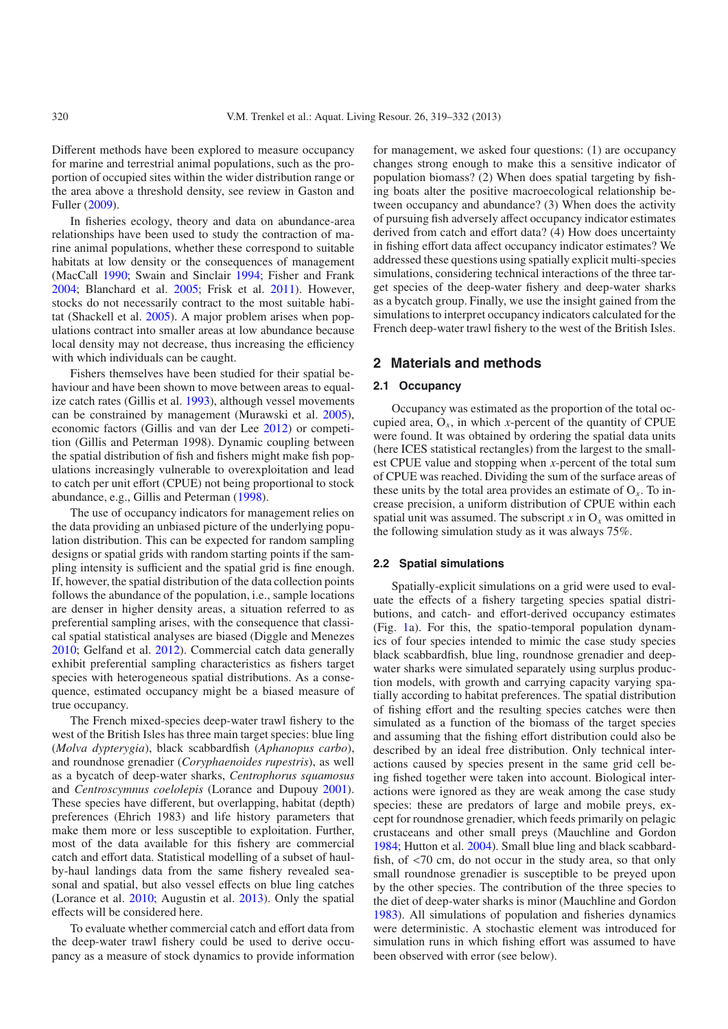Different methods have been explored to measure occupancy for marine and terrestrial animal populations, such as the proportion of occupied sites within the wider distribution range or the area above a threshold density, see review in Gaston and Fuller [\(2009](#page-13-2)).

In fisheries ecology, theory and data on abundance-area relationships have been used to study the contraction of marine animal populations, whether these correspond to suitable habitats at low density or the consequences of management (MacCall [1990](#page-13-3); Swain and Sinclair [1994;](#page-13-4) Fisher and Frank [2004;](#page-13-5) Blanchard et al. [2005](#page-12-3); Frisk et al. [2011\)](#page-13-6). However, stocks do not necessarily contract to the most suitable habitat (Shackell et al. [2005](#page-13-7)). A major problem arises when populations contract into smaller areas at low abundance because local density may not decrease, thus increasing the efficiency with which individuals can be caught.

Fishers themselves have been studied for their spatial behaviour and have been shown to move between areas to equalize catch rates (Gillis et al. [1993\)](#page-13-8), although vessel movements can be constrained by management (Murawski et al. [2005](#page-13-9)), economic factors (Gillis and van der Lee [2012\)](#page-13-10) or competition (Gillis and Peterman 1998). Dynamic coupling between the spatial distribution of fish and fishers might make fish populations increasingly vulnerable to overexploitation and lead to catch per unit effort (CPUE) not being proportional to stock abundance, e.g., Gillis and Peterman [\(1998](#page-13-11)).

The use of occupancy indicators for management relies on the data providing an unbiased picture of the underlying population distribution. This can be expected for random sampling designs or spatial grids with random starting points if the sampling intensity is sufficient and the spatial grid is fine enough. If, however, the spatial distribution of the data collection points follows the abundance of the population, i.e., sample locations are denser in higher density areas, a situation referred to as preferential sampling arises, with the consequence that classical spatial statistical analyses are biased (Diggle and Menezes [2010;](#page-12-4) Gelfand et al. [2012](#page-13-12)). Commercial catch data generally exhibit preferential sampling characteristics as fishers target species with heterogeneous spatial distributions. As a consequence, estimated occupancy might be a biased measure of true occupancy.

The French mixed-species deep-water trawl fishery to the west of the British Isles has three main target species: blue ling (*Molva dypterygia*), black scabbardfish (*Aphanopus carbo*), and roundnose grenadier (*Coryphaenoides rupestris*), as well as a bycatch of deep-water sharks, *Centrophorus squamosus* and *Centroscymnus coelolepis* (Lorance and Dupouy [2001](#page-13-13)). These species have different, but overlapping, habitat (depth) preferences (Ehrich 1983) and life history parameters that make them more or less susceptible to exploitation. Further, most of the data available for this fishery are commercial catch and effort data. Statistical modelling of a subset of haulby-haul landings data from the same fishery revealed seasonal and spatial, but also vessel effects on blue ling catches (Lorance et al. [2010;](#page-13-14) Augustin et al. [2013\)](#page-12-5). Only the spatial effects will be considered here.

To evaluate whether commercial catch and effort data from the deep-water trawl fishery could be used to derive occupancy as a measure of stock dynamics to provide information for management, we asked four questions: (1) are occupancy changes strong enough to make this a sensitive indicator of population biomass? (2) When does spatial targeting by fishing boats alter the positive macroecological relationship between occupancy and abundance? (3) When does the activity of pursuing fish adversely affect occupancy indicator estimates derived from catch and effort data? (4) How does uncertainty in fishing effort data affect occupancy indicator estimates? We addressed these questions using spatially explicit multi-species simulations, considering technical interactions of the three target species of the deep-water fishery and deep-water sharks as a bycatch group. Finally, we use the insight gained from the simulations to interpret occupancy indicators calculated for the French deep-water trawl fishery to the west of the British Isles.

## **2 Materials and methods**

#### **2.1 Occupancy**

Occupancy was estimated as the proportion of the total occupied area,  $O_x$ , in which *x*-percent of the quantity of CPUE were found. It was obtained by ordering the spatial data units (here ICES statistical rectangles) from the largest to the smallest CPUE value and stopping when *x*-percent of the total sum of CPUE was reached. Dividing the sum of the surface areas of these units by the total area provides an estimate of  $O<sub>r</sub>$ . To increase precision, a uniform distribution of CPUE within each spatial unit was assumed. The subscript  $x$  in  $O<sub>x</sub>$  was omitted in the following simulation study as it was always 75%.

#### **2.2 Spatial simulations**

Spatially-explicit simulations on a grid were used to evaluate the effects of a fishery targeting species spatial distributions, and catch- and effort-derived occupancy estimates (Fig. [1a](#page-2-0)). For this, the spatio-temporal population dynamics of four species intended to mimic the case study species black scabbardfish, blue ling, roundnose grenadier and deepwater sharks were simulated separately using surplus production models, with growth and carrying capacity varying spatially according to habitat preferences. The spatial distribution of fishing effort and the resulting species catches were then simulated as a function of the biomass of the target species and assuming that the fishing effort distribution could also be described by an ideal free distribution. Only technical interactions caused by species present in the same grid cell being fished together were taken into account. Biological interactions were ignored as they are weak among the case study species: these are predators of large and mobile preys, except for roundnose grenadier, which feeds primarily on pelagic crustaceans and other small preys (Mauchline and Gordon [1984;](#page-13-15) Hutton et al. [2004](#page-13-16)). Small blue ling and black scabbardfish, of <70 cm, do not occur in the study area, so that only small roundnose grenadier is susceptible to be preyed upon by the other species. The contribution of the three species to the diet of deep-water sharks is minor (Mauchline and Gordon [1983\)](#page-13-17). All simulations of population and fisheries dynamics were deterministic. A stochastic element was introduced for simulation runs in which fishing effort was assumed to have been observed with error (see below).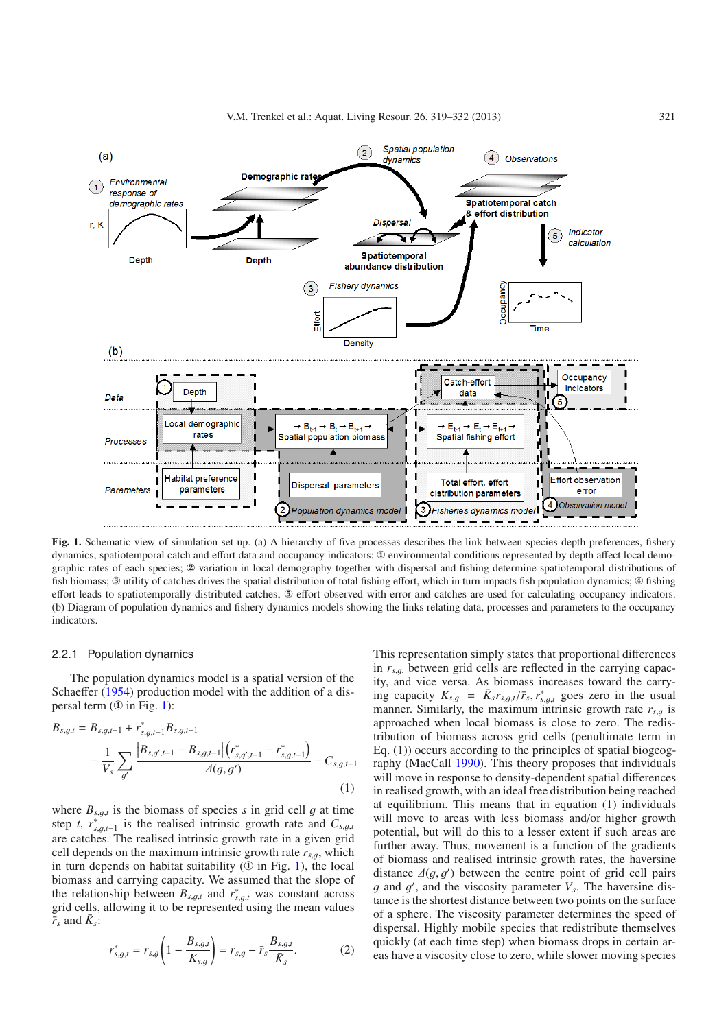

<span id="page-2-0"></span>Fig. 1. Schematic view of simulation set up. (a) A hierarchy of five processes describes the link between species depth preferences, fishery dynamics, spatiotemporal catch and effort data and occupancy indicators: ① environmental conditions represented by depth affect local demographic rates of each species; ② variation in local demography together with dispersal and fishing determine spatiotemporal distributions of fish biomass; 3 utility of catches drives the spatial distribution of total fishing effort, which in turn impacts fish population dynamics; 4 fishing effort leads to spatiotemporally distributed catches; ⑤ effort observed with error and catches are used for calculating occupancy indicators. (b) Diagram of population dynamics and fishery dynamics models showing the links relating data, processes and parameters to the occupancy indicators.

#### 2.2.1 Population dynamics

The population dynamics model is a spatial version of the Schaeffer [\(1954](#page-13-18)) production model with the addition of a dispersal term  $(①$  in Fig. [1\)](#page-2-0):

$$
B_{s,g,t} = B_{s,g,t-1} + r_{s,g,t-1}^* B_{s,g,t-1}
$$
  
- 
$$
\frac{1}{V_s} \sum_{g'} \frac{|B_{s,g',t-1} - B_{s,g,t-1}| (r_{s,g',t-1}^* - r_{s,g,t-1}^*)|}{\Delta(g,g')} - C_{s,g,t-1}
$$
  
(1)

where  $B_{s,q,t}$  is the biomass of species *s* in grid cell g at time step *t*,  $r_{s,g,t-1}^*$  is the realised intrinsic growth rate and  $C_{s,g,t}$ <br>are catches. The realised intrinsic growth rate in a given grid are catches. The realised intrinsic growth rate in a given grid cell depends on the maximum intrinsic growth rate  $r_{s,q}$ , which in turn depends on habitat suitability  $(①$  in Fig. [1\)](#page-2-0), the local biomass and carrying capacity. We assumed that the slope of the relationship between  $B_{s,g,t}$  and  $r_{s,g,t}^*$  was constant across grid cells, allowing it to be represented using the mean values  $\bar{r}_s$  and  $\bar{K}_s$ :

$$
r_{s,g,t}^* = r_{s,g} \left( 1 - \frac{B_{s,g,t}}{K_{s,g}} \right) = r_{s,g} - \bar{r}_s \frac{B_{s,g,t}}{\bar{K}_s}.
$$
 (2)

<span id="page-2-1"></span>This representation simply states that proportional differences in  $r_{s,a}$  between grid cells are reflected in the carrying capacity, and vice versa. As biomass increases toward the carrying capacity  $K_{s,g} = \bar{K}_s r_{s,g,t}/\bar{r}_s$ ,  $r_{s,g,t}^*$  goes zero in the usual manner Similarly the maximum intrinsic growth rate  $r_{s,s}$  is manner. Similarly, the maximum intrinsic growth rate  $r_{s,q}$  is approached when local biomass is close to zero. The redistribution of biomass across grid cells (penultimate term in Eq. (1)) occurs according to the principles of spatial biogeography (MacCall [1990\)](#page-13-3). This theory proposes that individuals will move in response to density-dependent spatial differences in realised growth, with an ideal free distribution being reached at equilibrium. This means that in equation (1) individuals will move to areas with less biomass and/or higher growth potential, but will do this to a lesser extent if such areas are further away. Thus, movement is a function of the gradients of biomass and realised intrinsic growth rates, the haversine distance  $\Delta(g, g')$  between the centre point of grid cell pairs a and a' and the viscosity parameter V. The haversine dis $g$  and  $g'$ , and the viscosity parameter  $V_s$ . The haversine distance is the shortest distance between two points on the surface tance is the shortest distance between two points on the surface of a sphere. The viscosity parameter determines the speed of dispersal. Highly mobile species that redistribute themselves quickly (at each time step) when biomass drops in certain areas have a viscosity close to zero, while slower moving species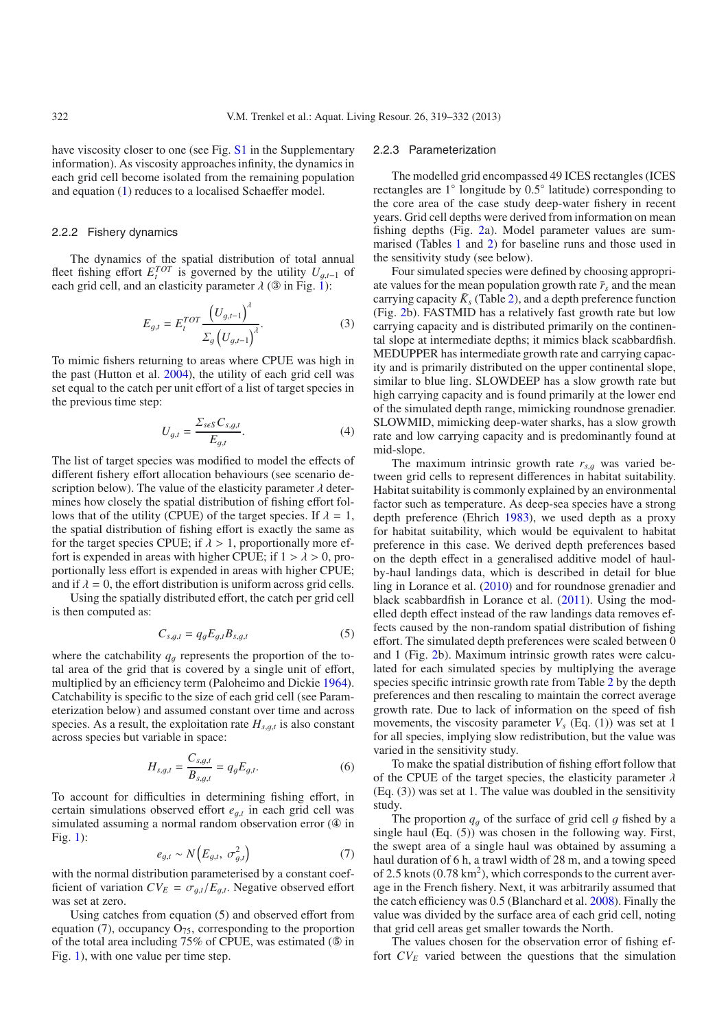have viscosity closer to one (see Fig. S<sub>1</sub> in the Supplementary information). As viscosity approaches infinity, the dynamics in each grid cell become isolated from the remaining population and equation [\(1\)](#page-2-1) reduces to a localised Schaeffer model.

#### 2.2.2 Fishery dynamics

The dynamics of the spatial distribution of total annual fleet fishing effort  $E_t^{TOT}$  is governed by the utility  $U_{g,t-1}$  of each grid call and an elasticity parameter  $\lambda$  ( $\hat{\mathcal{R}}$  in Fig. 1). each grid cell, and an elasticity parameter  $\lambda$  (3 in Fig. [1\)](#page-2-0):

$$
E_{g,t} = E_t^{TOT} \frac{\left(U_{g,t-1}\right)^{\lambda}}{\Sigma_g \left(U_{g,t-1}\right)^{\lambda}}.
$$
 (3)

To mimic fishers returning to areas where CPUE was high in the past (Hutton et al. [2004\)](#page-13-16), the utility of each grid cell was set equal to the catch per unit effort of a list of target species in the previous time step:

$$
U_{g,t} = \frac{\sum_{s \in S} C_{s,g,t}}{E_{g,t}}.\tag{4}
$$

The list of target species was modified to model the effects of different fishery effort allocation behaviours (see scenario description below). The value of the elasticity parameter  $\lambda$  determines how closely the spatial distribution of fishing effort follows that of the utility (CPUE) of the target species. If  $\lambda = 1$ , the spatial distribution of fishing effort is exactly the same as for the target species CPUE; if  $\lambda > 1$ , proportionally more effort is expended in areas with higher CPUE; if  $1 > \lambda > 0$ , proportionally less effort is expended in areas with higher CPUE; and if  $\lambda = 0$ , the effort distribution is uniform across grid cells.

Using the spatially distributed effort, the catch per grid cell is then computed as:

$$
C_{s,g,t} = q_g E_{g,t} B_{s,g,t} \tag{5}
$$

where the catchability  $q<sub>q</sub>$  represents the proportion of the total area of the grid that is covered by a single unit of effort, multiplied by an efficiency term (Paloheimo and Dickie [1964](#page-13-19)). Catchability is specific to the size of each grid cell (see Parameterization below) and assumed constant over time and across species. As a result, the exploitation rate  $H_{s,q,t}$  is also constant across species but variable in space:

$$
H_{s,g,t} = \frac{C_{s,g,t}}{B_{s,g,t}} = q_g E_{g,t}.
$$
 (6)

To account for difficulties in determining fishing effort, in certain simulations observed effort *<sup>e</sup>*g,*<sup>t</sup>* in each grid cell was simulated assuming a normal random observation error (4) in Fig. [1\)](#page-2-0):

$$
e_{g,t} \sim N\left(E_{g,t}, \sigma_{g,t}^2\right) \tag{7}
$$

with the normal distribution parameterised by a constant coefficient of variation  $CV_E = \sigma_{g,t}/E_{g,t}$ . Negative observed effort was set at zero.

Using catches from equation (5) and observed effort from equation (7), occupancy  $O<sub>75</sub>$ , corresponding to the proportion of the total area including 75% of CPUE, was estimated (⑤ in Fig. [1\)](#page-2-0), with one value per time step.

#### 2.2.3 Parameterization

The modelled grid encompassed 49 ICES rectangles (ICES rectangles are 1◦ longitude by 0.5◦ latitude) corresponding to the core area of the case study deep-water fishery in recent years. Grid cell depths were derived from information on mean fishing depths (Fig. [2a](#page-4-0)). Model parameter values are summarised (Tables [1](#page-4-1) and [2\)](#page-4-2) for baseline runs and those used in the sensitivity study (see below).

Four simulated species were defined by choosing appropriate values for the mean population growth rate  $\bar{r}_s$  and the mean carrying capacity  $\bar{K}_s$  (Table [2\)](#page-4-2), and a depth preference function (Fig. [2b](#page-4-0)). FASTMID has a relatively fast growth rate but low carrying capacity and is distributed primarily on the continental slope at intermediate depths; it mimics black scabbardfish. MEDUPPER has intermediate growth rate and carrying capacity and is primarily distributed on the upper continental slope, similar to blue ling. SLOWDEEP has a slow growth rate but high carrying capacity and is found primarily at the lower end of the simulated depth range, mimicking roundnose grenadier. SLOWMID, mimicking deep-water sharks, has a slow growth rate and low carrying capacity and is predominantly found at mid-slope.

The maximum intrinsic growth rate  $r_{s,q}$  was varied between grid cells to represent differences in habitat suitability. Habitat suitability is commonly explained by an environmental factor such as temperature. As deep-sea species have a strong depth preference (Ehrich [1983\)](#page-12-6), we used depth as a proxy for habitat suitability, which would be equivalent to habitat preference in this case. We derived depth preferences based on the depth effect in a generalised additive model of haulby-haul landings data, which is described in detail for blue ling in Lorance et al. [\(2010\)](#page-13-14) and for roundnose grenadier and black scabbardfish in Lorance et al. [\(2011](#page-13-20)). Using the modelled depth effect instead of the raw landings data removes effects caused by the non-random spatial distribution of fishing effort. The simulated depth preferences were scaled between 0 and 1 (Fig. [2b](#page-4-0)). Maximum intrinsic growth rates were calculated for each simulated species by multiplying the average species specific intrinsic growth rate from Table [2](#page-4-2) by the depth preferences and then rescaling to maintain the correct average growth rate. Due to lack of information on the speed of fish movements, the viscosity parameter  $V_s$  (Eq. (1)) was set at 1 for all species, implying slow redistribution, but the value was varied in the sensitivity study.

To make the spatial distribution of fishing effort follow that of the CPUE of the target species, the elasticity parameter  $\lambda$ (Eq. (3)) was set at 1. The value was doubled in the sensitivity study.

The proportion  $q_g$  of the surface of grid cell g fished by a single haul (Eq. (5)) was chosen in the following way. First, the swept area of a single haul was obtained by assuming a haul duration of 6 h, a trawl width of 28 m, and a towing speed of 2.5 knots  $(0.78 \text{ km}^2)$ , which corresponds to the current average in the French fishery. Next, it was arbitrarily assumed that the catch efficiency was 0.5 (Blanchard et al. [2008\)](#page-12-7). Finally the value was divided by the surface area of each grid cell, noting that grid cell areas get smaller towards the North.

The values chosen for the observation error of fishing effort  $CV_E$  varied between the questions that the simulation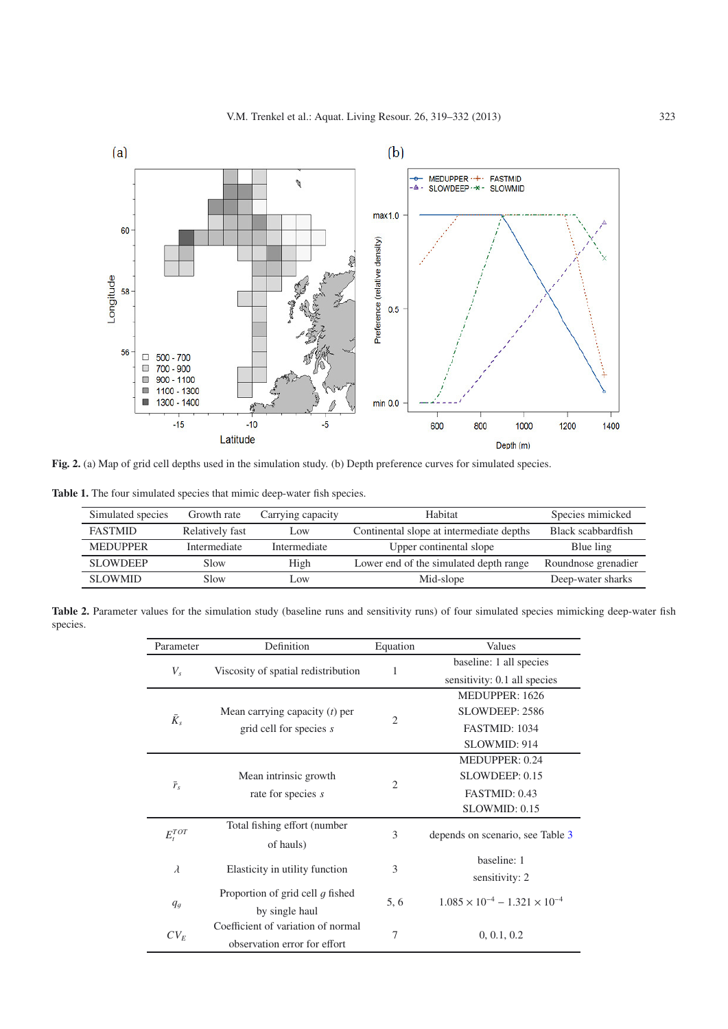

<span id="page-4-2"></span><span id="page-4-1"></span><span id="page-4-0"></span>**Fig. 2.** (a) Map of grid cell depths used in the simulation study. (b) Depth preference curves for simulated species.

**Table 1.** The four simulated species that mimic deep-water fish species.

| Simulated species | Growth rate     | Carrying capacity | Habitat                                  | Species mimicked    |  |
|-------------------|-----------------|-------------------|------------------------------------------|---------------------|--|
| <b>FASTMID</b>    | Relatively fast | Low               | Continental slope at intermediate depths | Black scabbardfish  |  |
| <b>MEDUPPER</b>   | Intermediate    | Intermediate      | Upper continental slope                  | Blue ling           |  |
| <b>SLOWDEEP</b>   | Slow            | High              | Lower end of the simulated depth range   | Roundnose grenadier |  |
| <b>SLOWMID</b>    | Slow            | L <sub>OW</sub>   | Mid-slope                                | Deep-water sharks   |  |

Table 2. Parameter values for the simulation study (baseline runs and sensitivity runs) of four simulated species mimicking deep-water fish species.

| Parameter   | Definition                          | Equation       | Values                                        |  |  |
|-------------|-------------------------------------|----------------|-----------------------------------------------|--|--|
| $V_{s}$     |                                     | 1              | baseline: 1 all species                       |  |  |
|             | Viscosity of spatial redistribution |                | sensitivity: 0.1 all species                  |  |  |
| $\bar{K}_s$ |                                     | $\overline{2}$ | MEDUPPER: 1626                                |  |  |
|             | Mean carrying capacity $(t)$ per    |                | SLOWDEEP: 2586                                |  |  |
|             | grid cell for species s             |                | FASTMID: 1034                                 |  |  |
|             |                                     |                | SLOWMID: 914                                  |  |  |
| $\bar{r}_s$ | Mean intrinsic growth               | $\overline{2}$ | MEDUPPER: 0.24                                |  |  |
|             |                                     |                | SLOWDEEP: 0.15                                |  |  |
|             | rate for species s                  |                | FASTMID: 0.43                                 |  |  |
|             |                                     |                | SLOWMID: 0.15                                 |  |  |
| $E_t^{TOT}$ | Total fishing effort (number        | 3              |                                               |  |  |
|             | of hauls)                           |                | depends on scenario, see Table 3              |  |  |
| $\lambda$   | Elasticity in utility function      | 3              | baseline: 1                                   |  |  |
|             |                                     |                | sensitivity: 2                                |  |  |
| $q_g$       | Proportion of grid cell $q$ fished  |                | $1.085 \times 10^{-4} - 1.321 \times 10^{-4}$ |  |  |
|             | by single haul                      | 5, 6           |                                               |  |  |
| $CV_F$      | Coefficient of variation of normal  |                |                                               |  |  |
|             | observation error for effort        | 7              | 0, 0.1, 0.2                                   |  |  |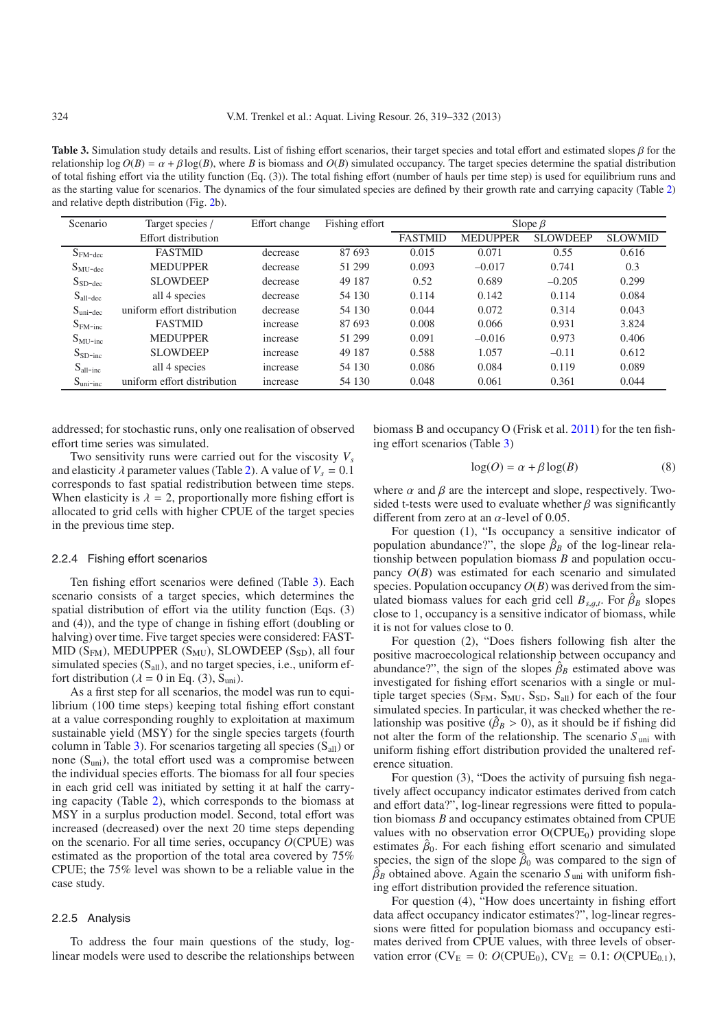<span id="page-5-0"></span>**Table 3.** Simulation study details and results. List of fishing effort scenarios, their target species and total effort and estimated slopes β for the relationship  $\log O(B) = \alpha + \beta \log(B)$ , where *B* is biomass and  $O(B)$  simulated occupancy. The target species determine the spatial distribution of total fishing effort via the utility function (Eq. (3)). The total fishing effort (number of hauls per time step) is used for equilibrium runs and as the starting value for scenarios. The dynamics of the four simulated species are defined by their growth rate and carrying capacity (Table [2\)](#page-4-2) and relative depth distribution (Fig. [2b](#page-4-0)).

| Scenario                    | Target species /            | Effort change  | Fishing effort | Slope $\beta$  |                 |                 |                |
|-----------------------------|-----------------------------|----------------|----------------|----------------|-----------------|-----------------|----------------|
|                             | Effort distribution         |                |                | <b>FASTMID</b> | <b>MEDUPPER</b> | <b>SLOWDEEP</b> | <b>SLOWMID</b> |
| $S_{FM-dec}$                | <b>FASTMID</b>              | decrease       | 87 693         | 0.015          | 0.071           | 0.55            | 0.616          |
| $S_{MU-dec}$                | <b>MEDUPPER</b>             | decrease       | 51 299         | 0.093          | $-0.017$        | 0.741           | 0.3            |
| $S_{SD-dec}$                | <b>SLOWDEEP</b>             | decrease       | 49 187         | 0.52           | 0.689           | $-0.205$        | 0.299          |
| $S_{all-dec}$               | all 4 species               | decrease       | 54 130         | 0.114          | 0.142           | 0.114           | 0.084          |
| $S_{\text{uni-dec}}$        | uniform effort distribution | decrease       | 54 130         | 0.044          | 0.072           | 0.314           | 0.043          |
| $S_{FM-inc}$                | <b>FASTMID</b>              | increase       | 87 693         | 0.008          | 0.066           | 0.931           | 3.824          |
| $S_{MU-inc}$                | <b>MEDUPPER</b>             | increase       | 51 299         | 0.091          | $-0.016$        | 0.973           | 0.406          |
| $S_{SD-inc}$                | <b>SLOWDEEP</b>             | increase       | 49 187         | 0.588          | 1.057           | $-0.11$         | 0.612          |
| $S_{all-inc}$               | all 4 species               | <i>ncrease</i> | 54 130         | 0.086          | 0.084           | 0.119           | 0.089          |
| $S_{\text{uni}-\text{inc}}$ | uniform effort distribution | increase       | 54 130         | 0.048          | 0.061           | 0.361           | 0.044          |

addressed; for stochastic runs, only one realisation of observed effort time series was simulated.

Two sensitivity runs were carried out for the viscosity *Vs* and elasticity  $\lambda$  parameter values (Table [2\)](#page-4-0). A value of  $V_s = 0.1$ corresponds to fast spatial redistribution between time steps. When elasticity is  $\lambda = 2$ , proportionally more fishing effort is allocated to grid cells with higher CPUE of the target species in the previous time step.

#### 2.2.4 Fishing effort scenarios

Ten fishing effort scenarios were defined (Table [3\)](#page-5-0). Each scenario consists of a target species, which determines the spatial distribution of effort via the utility function (Eqs. (3) and (4)), and the type of change in fishing effort (doubling or halving) over time. Five target species were considered: FAST-MID ( $S_{FM}$ ), MEDUPPER ( $S_{MU}$ ), SLOWDEEP ( $S_{SD}$ ), all four simulated species  $(S_{all})$ , and no target species, i.e., uniform effort distribution ( $\lambda = 0$  in Eq. (3), S<sub>uni</sub>).

As a first step for all scenarios, the model was run to equilibrium (100 time steps) keeping total fishing effort constant at a value corresponding roughly to exploitation at maximum sustainable yield (MSY) for the single species targets (fourth column in Table [3\)](#page-5-0). For scenarios targeting all species  $(S_{all})$  or none  $(S_{uni})$ , the total effort used was a compromise between the individual species efforts. The biomass for all four species in each grid cell was initiated by setting it at half the carrying capacity (Table [2\)](#page-4-2), which corresponds to the biomass at MSY in a surplus production model. Second, total effort was increased (decreased) over the next 20 time steps depending on the scenario. For all time series, occupancy *O*(CPUE) was estimated as the proportion of the total area covered by 75% CPUE; the 75% level was shown to be a reliable value in the case study.

#### 2.2.5 Analysis

To address the four main questions of the study, loglinear models were used to describe the relationships between biomass B and occupancy O (Frisk et al. [2011\)](#page-13-6) for the ten fishing effort scenarios (Table [3\)](#page-5-0)

$$
log(O) = \alpha + \beta \log(B)
$$
 (8)

where  $\alpha$  and  $\beta$  are the intercept and slope, respectively. Twosided t-tests were used to evaluate whether  $\beta$  was significantly different from zero at an  $\alpha$ -level of 0.05.

For question (1), "Is occupancy a sensitive indicator of population abundance?", the slope  $\hat{\beta}_B$  of the log-linear relationship between population biomass *B* and population occupancy  $O(B)$  was estimated for each scenario and simulated species. Population occupancy  $O(B)$  was derived from the simulated biomass values for each grid cell  $B_{s,q,t}$ . For  $\hat{\beta}_B$  slopes close to 1, occupancy is a sensitive indicator of biomass, while it is not for values close to 0.

For question (2), "Does fishers following fish alter the positive macroecological relationship between occupancy and abundance?", the sign of the slopes  $\hat{\beta}_B$  estimated above was investigated for fishing effort scenarios with a single or multiple target species (SFM, S<sub>MU</sub>, S<sub>SD</sub>, S<sub>all</sub>) for each of the four simulated species. In particular, it was checked whether the relationship was positive ( $\hat{\beta}_B > 0$ ), as it should be if fishing did not alter the form of the relationship. The scenario  $S_{\text{uni}}$  with uniform fishing effort distribution provided the unaltered reference situation.

For question (3), "Does the activity of pursuing fish negatively affect occupancy indicator estimates derived from catch and effort data?", log-linear regressions were fitted to population biomass *B* and occupancy estimates obtained from CPUE values with no observation error  $O(CPUE<sub>0</sub>)$  providing slope estimates  $\hat{\beta}_0$ . For each fishing effort scenario and simulated species, the sign of the slope  $\hat{\beta}_0$  was compared to the sign of  $\hat{\beta}_B$  obtained above. Again the scenario  $S_{\text{uni}}$  with uniform fishing effort distribution provided the reference situation.

For question (4), "How does uncertainty in fishing effort data affect occupancy indicator estimates?", log-linear regressions were fitted for population biomass and occupancy estimates derived from CPUE values, with three levels of observation error ( $CV_E = 0$ :  $O(CPUE_0)$ ,  $CV_E = 0.1$ :  $O(CPUE_{0.1})$ ,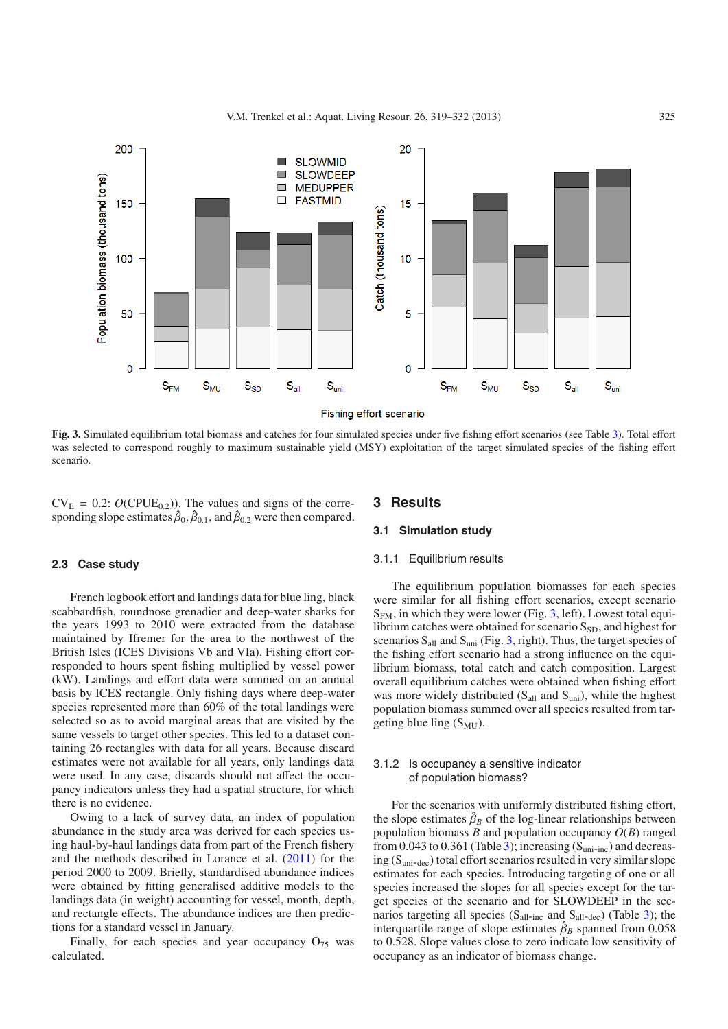<span id="page-6-0"></span>

**Fig. 3.** Simulated equilibrium total biomass and catches for four simulated species under five fishing effort scenarios (see Table [3\)](#page-5-0). Total effort was selected to correspond roughly to maximum sustainable yield (MSY) exploitation of the target simulated species of the fishing effort scenario.

 $CV<sub>E</sub> = 0.2$ :  $O(CPUE<sub>0.2</sub>)$ ). The values and signs of the corresponding slope estimates  $\hat{\beta}_0$ ,  $\hat{\beta}_{0,1}$ , and  $\hat{\beta}_{0,2}$  were then compared.

#### **2.3 Case study**

French logbook effort and landings data for blue ling, black scabbardfish, roundnose grenadier and deep-water sharks for the years 1993 to 2010 were extracted from the database maintained by Ifremer for the area to the northwest of the British Isles (ICES Divisions Vb and VIa). Fishing effort corresponded to hours spent fishing multiplied by vessel power (kW). Landings and effort data were summed on an annual basis by ICES rectangle. Only fishing days where deep-water species represented more than 60% of the total landings were selected so as to avoid marginal areas that are visited by the same vessels to target other species. This led to a dataset containing 26 rectangles with data for all years. Because discard estimates were not available for all years, only landings data were used. In any case, discards should not affect the occupancy indicators unless they had a spatial structure, for which there is no evidence.

Owing to a lack of survey data, an index of population abundance in the study area was derived for each species using haul-by-haul landings data from part of the French fishery and the methods described in Lorance et al. [\(2011\)](#page-13-20) for the period 2000 to 2009. Briefly, standardised abundance indices were obtained by fitting generalised additive models to the landings data (in weight) accounting for vessel, month, depth, and rectangle effects. The abundance indices are then predictions for a standard vessel in January.

Finally, for each species and year occupancy  $O_{75}$  was calculated.

### **3 Results**

#### **3.1 Simulation study**

#### 3.1.1 Equilibrium results

The equilibrium population biomasses for each species were similar for all fishing effort scenarios, except scenario  $S_{FM}$ , in which they were lower (Fig. [3,](#page-6-0) left). Lowest total equilibrium catches were obtained for scenario  $S_{SD}$ , and highest for scenarios S<sub>all</sub> and S<sub>uni</sub> (Fig. [3,](#page-6-0) right). Thus, the target species of the fishing effort scenario had a strong influence on the equilibrium biomass, total catch and catch composition. Largest overall equilibrium catches were obtained when fishing effort was more widely distributed  $(S_{all}$  and  $S_{uni}$ ), while the highest population biomass summed over all species resulted from targeting blue ling  $(S_{\text{MI}})$ .

#### 3.1.2 Is occupancy a sensitive indicator of population biomass?

For the scenarios with uniformly distributed fishing effort, the slope estimates  $\beta_B$  of the log-linear relationships between population biomass *B* and population occupancy *O*(*B*) ranged from 0.043 to 0.361 (Table [3\)](#page-5-0); increasing  $(S_{\text{uni-inc}})$  and decreasing (Suni-dec) total effort scenarios resulted in very similar slope estimates for each species. Introducing targeting of one or all species increased the slopes for all species except for the target species of the scenario and for SLOWDEEP in the scenarios targeting all species  $(S_{all-inc}$  and  $S_{all-dec})$  (Table [3\)](#page-5-0); the interquartile range of slope estimates  $\hat{\beta}_B$  spanned from 0.058 to 0.528. Slope values close to zero indicate low sensitivity of occupancy as an indicator of biomass change.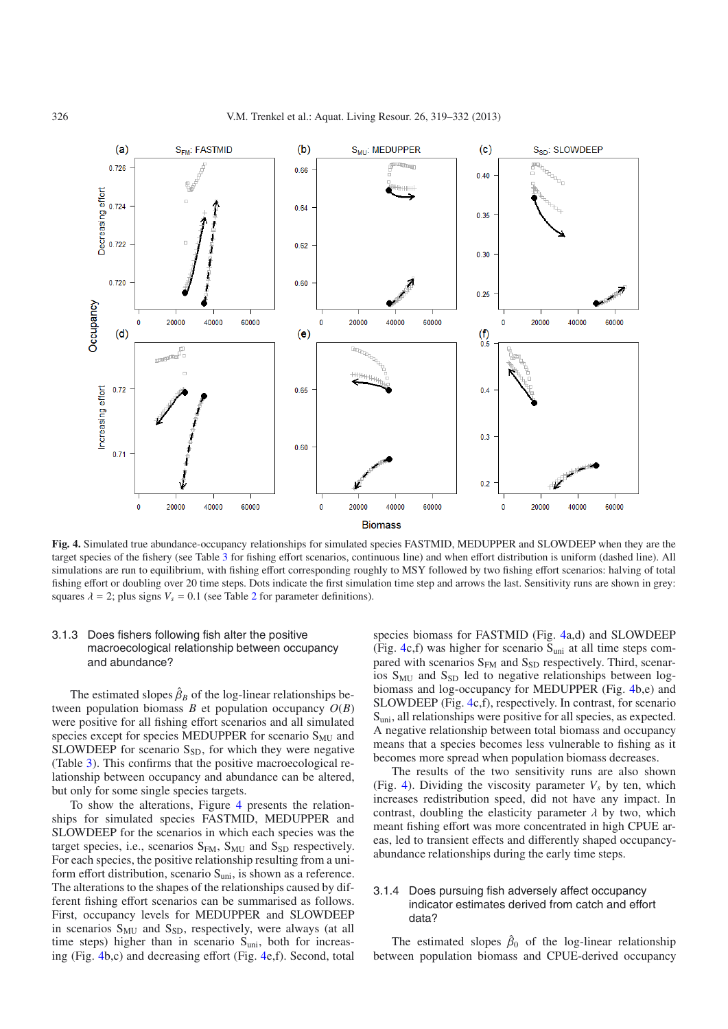

<span id="page-7-0"></span>**Fig. 4.** Simulated true abundance-occupancy relationships for simulated species FASTMID, MEDUPPER and SLOWDEEP when they are the target species of the fishery (see Table [3](#page-5-0) for fishing effort scenarios, continuous line) and when effort distribution is uniform (dashed line). All simulations are run to equilibrium, with fishing effort corresponding roughly to MSY followed by two fishing effort scenarios: halving of total fishing effort or doubling over 20 time steps. Dots indicate the first simulation time step and arrows the last. Sensitivity runs are shown in grey: squares  $\lambda = 2$  $\lambda = 2$ ; plus signs  $V_s = 0.1$  (see Table 2 for parameter definitions).

## 3.1.3 Does fishers following fish alter the positive macroecological relationship between occupancy and abundance?

The estimated slopes  $\hat{\beta}_B$  of the log-linear relationships between population biomass *B* et population occupancy *O*(*B*) were positive for all fishing effort scenarios and all simulated species except for species MEDUPPER for scenario  $S_{\text{MI}}$  and SLOWDEEP for scenario  $S_{SD}$ , for which they were negative (Table [3\)](#page-5-0). This confirms that the positive macroecological relationship between occupancy and abundance can be altered, but only for some single species targets.

To show the alterations, Figure [4](#page-7-0) presents the relationships for simulated species FASTMID, MEDUPPER and SLOWDEEP for the scenarios in which each species was the target species, i.e., scenarios  $S_{FM}$ ,  $S_{MU}$  and  $S_{SD}$  respectively. For each species, the positive relationship resulting from a uniform effort distribution, scenario  $S_{\text{uni}}$ , is shown as a reference. The alterations to the shapes of the relationships caused by different fishing effort scenarios can be summarised as follows. First, occupancy levels for MEDUPPER and SLOWDEEP in scenarios  $S_{MU}$  and  $S_{SD}$ , respectively, were always (at all time steps) higher than in scenario  $S<sub>uni</sub>$ , both for increasing (Fig. [4b](#page-7-0),c) and decreasing effort (Fig. [4e](#page-7-0),f). Second, total species biomass for FASTMID (Fig. [4a](#page-7-0),d) and SLOWDEEP (Fig. [4c](#page-7-0),f) was higher for scenario  $S<sub>uni</sub>$  at all time steps compared with scenarios  $S_{FM}$  and  $S_{SD}$  respectively. Third, scenarios  $S_{MU}$  and  $S_{SD}$  led to negative relationships between logbiomass and log-occupancy for MEDUPPER (Fig. [4b](#page-7-0),e) and SLOWDEEP (Fig. [4c](#page-7-0),f), respectively. In contrast, for scenario Suni, all relationships were positive for all species, as expected. A negative relationship between total biomass and occupancy means that a species becomes less vulnerable to fishing as it becomes more spread when population biomass decreases.

The results of the two sensitivity runs are also shown (Fig. [4\)](#page-7-0). Dividing the viscosity parameter  $V_s$  by ten, which increases redistribution speed, did not have any impact. In contrast, doubling the elasticity parameter  $\lambda$  by two, which meant fishing effort was more concentrated in high CPUE areas, led to transient effects and differently shaped occupancyabundance relationships during the early time steps.

## 3.1.4 Does pursuing fish adversely affect occupancy indicator estimates derived from catch and effort data?

The estimated slopes  $\hat{\beta}_0$  of the log-linear relationship between population biomass and CPUE-derived occupancy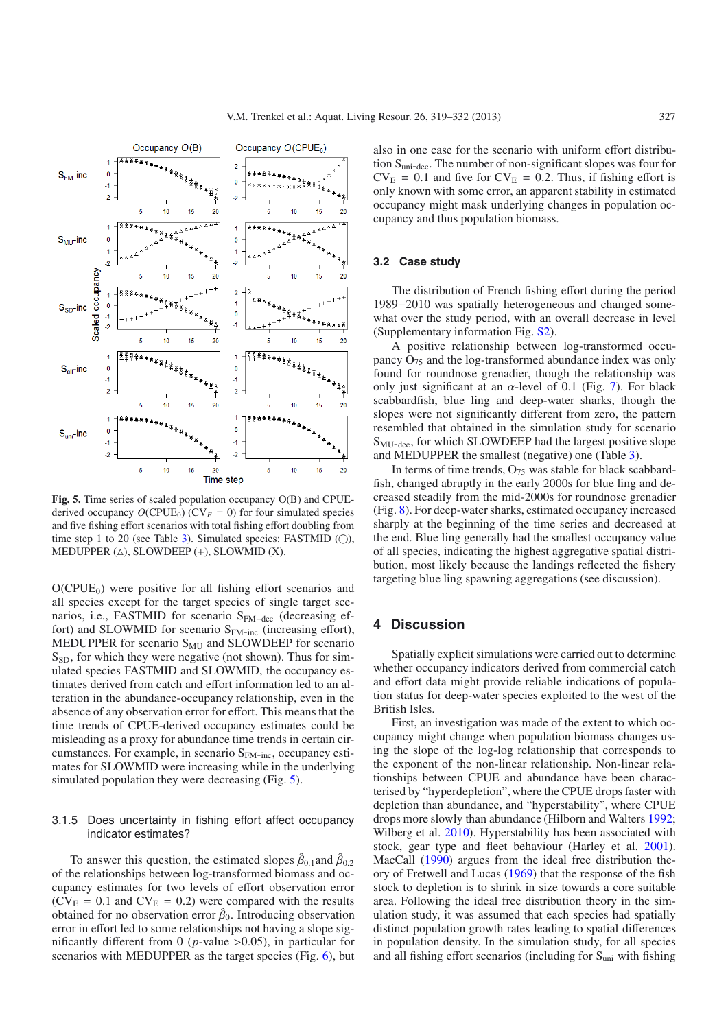

<span id="page-8-0"></span>**Fig. 5.** Time series of scaled population occupancy O(B) and CPUEderived occupancy  $O(CPUE_0)$  ( $CV_E = 0$ ) for four simulated species and five fishing effort scenarios with total fishing effort doubling from time step 1 to 20 (see Table [3\)](#page-5-0). Simulated species: FASTMID  $\circlearrowright$ ), MEDUPPER  $(\triangle)$ , SLOWDEEP  $(+)$ , SLOWMID  $(X)$ .

 $O(CPUE<sub>0</sub>)$  were positive for all fishing effort scenarios and all species except for the target species of single target scenarios, i.e., FASTMID for scenario S<sub>FM−dec</sub> (decreasing effort) and SLOWMID for scenario  $S_{FM-inc}$  (increasing effort), MEDUPPER for scenario  $S_{MU}$  and SLOWDEEP for scenario  $S<sub>SD</sub>$ , for which they were negative (not shown). Thus for simulated species FASTMID and SLOWMID, the occupancy estimates derived from catch and effort information led to an alteration in the abundance-occupancy relationship, even in the absence of any observation error for effort. This means that the time trends of CPUE-derived occupancy estimates could be misleading as a proxy for abundance time trends in certain circumstances. For example, in scenario  $S_{FM-inc}$ , occupancy estimates for SLOWMID were increasing while in the underlying simulated population they were decreasing (Fig. [5\)](#page-8-0).

#### 3.1.5 Does uncertainty in fishing effort affect occupancy indicator estimates?

To answer this question, the estimated slopes  $\hat{\beta}_{0,1}$  and  $\hat{\beta}_{0,2}$ of the relationships between log-transformed biomass and occupancy estimates for two levels of effort observation error  $(CV_E = 0.1$  and  $CV_E = 0.2$ ) were compared with the results obtained for no observation error  $\hat{\beta}_0$ . Introducing observation error in effort led to some relationships not having a slope significantly different from 0 (*p*-value >0.05), in particular for scenarios with MEDUPPER as the target species (Fig. [6\)](#page-9-0), but also in one case for the scenario with uniform effort distribution Suni-dec. The number of non-significant slopes was four for  $CV_E = 0.1$  and five for  $CV_E = 0.2$ . Thus, if fishing effort is only known with some error, an apparent stability in estimated occupancy might mask underlying changes in population occupancy and thus population biomass.

#### **3.2 Case study**

The distribution of French fishing effort during the period 1989−2010 was spatially heterogeneous and changed somewhat over the study period, with an overall decrease in level (Supplementary information Fig. [S2\)](#page-4-0).

A positive relationship between log-transformed occupancy  $O_{75}$  and the log-transformed abundance index was only found for roundnose grenadier, though the relationship was only just significant at an  $\alpha$ -level of 0.1 (Fig. [7\)](#page-9-1). For black scabbardfish, blue ling and deep-water sharks, though the slopes were not significantly different from zero, the pattern resembled that obtained in the simulation study for scenario SMU-dec, for which SLOWDEEP had the largest positive slope and MEDUPPER the smallest (negative) one (Table [3\)](#page-5-0).

In terms of time trends,  $O<sub>75</sub>$  was stable for black scabbardfish, changed abruptly in the early 2000s for blue ling and decreased steadily from the mid-2000s for roundnose grenadier (Fig. [8\)](#page-10-0). For deep-water sharks, estimated occupancy increased sharply at the beginning of the time series and decreased at the end. Blue ling generally had the smallest occupancy value of all species, indicating the highest aggregative spatial distribution, most likely because the landings reflected the fishery targeting blue ling spawning aggregations (see discussion).

## **4 Discussion**

Spatially explicit simulations were carried out to determine whether occupancy indicators derived from commercial catch and effort data might provide reliable indications of population status for deep-water species exploited to the west of the British Isles.

First, an investigation was made of the extent to which occupancy might change when population biomass changes using the slope of the log-log relationship that corresponds to the exponent of the non-linear relationship. Non-linear relationships between CPUE and abundance have been characterised by "hyperdepletion", where the CPUE drops faster with depletion than abundance, and "hyperstability", where CPUE drops more slowly than abundance (Hilborn and Walters [1992;](#page-13-21) Wilberg et al. [2010\)](#page-13-22). Hyperstability has been associated with stock, gear type and fleet behaviour (Harley et al. [2001\)](#page-13-23). MacCall [\(1990](#page-13-3)) argues from the ideal free distribution theory of Fretwell and Lucas [\(1969\)](#page-13-24) that the response of the fish stock to depletion is to shrink in size towards a core suitable area. Following the ideal free distribution theory in the simulation study, it was assumed that each species had spatially distinct population growth rates leading to spatial differences in population density. In the simulation study, for all species and all fishing effort scenarios (including for  $S<sub>uni</sub>$  with fishing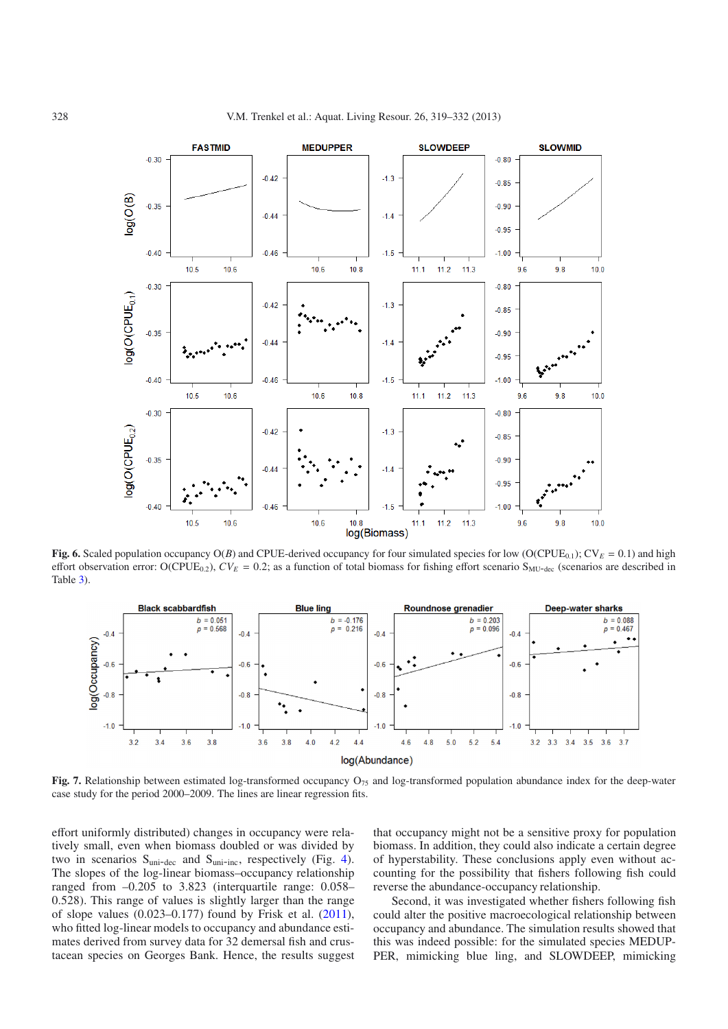

<span id="page-9-1"></span><span id="page-9-0"></span>**Fig. 6.** Scaled population occupancy O(*B*) and CPUE-derived occupancy for four simulated species for low (O(CPUE<sub>0.1</sub>); CV<sub>*E*</sub> = 0.1) and high effort observation error: O(CPUE<sub>0.2</sub>),  $CV_E = 0.2$ ; as a function of total biomass for fishing effort scenario S<sub>MU-dec</sub> (scenarios are described in Table [3\)](#page-5-0).



**Fig. 7.** Relationship between estimated log-transformed occupancy O<sub>75</sub> and log-transformed population abundance index for the deep-water case study for the period 2000–2009. The lines are linear regression fits.

effort uniformly distributed) changes in occupancy were relatively small, even when biomass doubled or was divided by two in scenarios Suni-dec and Suni-inc, respectively (Fig. [4\)](#page-7-0). The slopes of the log-linear biomass–occupancy relationship ranged from –0.205 to 3.823 (interquartile range: 0.058– 0.528). This range of values is slightly larger than the range of slope values (0.023–0.177) found by Frisk et al. [\(2011](#page-13-6)), who fitted log-linear models to occupancy and abundance estimates derived from survey data for 32 demersal fish and crustacean species on Georges Bank. Hence, the results suggest that occupancy might not be a sensitive proxy for population biomass. In addition, they could also indicate a certain degree of hyperstability. These conclusions apply even without accounting for the possibility that fishers following fish could reverse the abundance-occupancy relationship.

Second, it was investigated whether fishers following fish could alter the positive macroecological relationship between occupancy and abundance. The simulation results showed that this was indeed possible: for the simulated species MEDUP-PER, mimicking blue ling, and SLOWDEEP, mimicking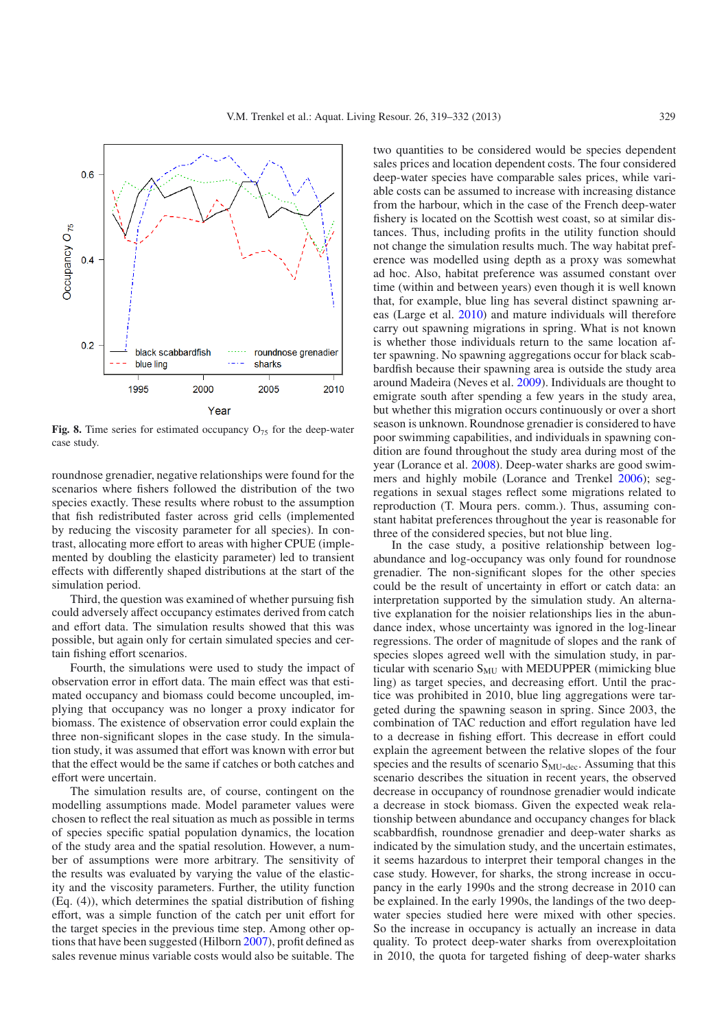<span id="page-10-0"></span>

Fig. 8. Time series for estimated occupancy O<sub>75</sub> for the deep-water case study.

roundnose grenadier, negative relationships were found for the scenarios where fishers followed the distribution of the two species exactly. These results where robust to the assumption that fish redistributed faster across grid cells (implemented by reducing the viscosity parameter for all species). In contrast, allocating more effort to areas with higher CPUE (implemented by doubling the elasticity parameter) led to transient effects with differently shaped distributions at the start of the simulation period.

Third, the question was examined of whether pursuing fish could adversely affect occupancy estimates derived from catch and effort data. The simulation results showed that this was possible, but again only for certain simulated species and certain fishing effort scenarios.

Fourth, the simulations were used to study the impact of observation error in effort data. The main effect was that estimated occupancy and biomass could become uncoupled, implying that occupancy was no longer a proxy indicator for biomass. The existence of observation error could explain the three non-significant slopes in the case study. In the simulation study, it was assumed that effort was known with error but that the effect would be the same if catches or both catches and effort were uncertain.

The simulation results are, of course, contingent on the modelling assumptions made. Model parameter values were chosen to reflect the real situation as much as possible in terms of species specific spatial population dynamics, the location of the study area and the spatial resolution. However, a number of assumptions were more arbitrary. The sensitivity of the results was evaluated by varying the value of the elasticity and the viscosity parameters. Further, the utility function (Eq. (4)), which determines the spatial distribution of fishing effort, was a simple function of the catch per unit effort for the target species in the previous time step. Among other options that have been suggested (Hilborn [2007](#page-13-25)), profit defined as sales revenue minus variable costs would also be suitable. The

two quantities to be considered would be species dependent sales prices and location dependent costs. The four considered deep-water species have comparable sales prices, while variable costs can be assumed to increase with increasing distance from the harbour, which in the case of the French deep-water fishery is located on the Scottish west coast, so at similar distances. Thus, including profits in the utility function should not change the simulation results much. The way habitat preference was modelled using depth as a proxy was somewhat ad hoc. Also, habitat preference was assumed constant over time (within and between years) even though it is well known that, for example, blue ling has several distinct spawning areas (Large et al. [2010\)](#page-13-26) and mature individuals will therefore carry out spawning migrations in spring. What is not known is whether those individuals return to the same location after spawning. No spawning aggregations occur for black scabbardfish because their spawning area is outside the study area around Madeira (Neves et al. [2009\)](#page-13-27). Individuals are thought to emigrate south after spending a few years in the study area, but whether this migration occurs continuously or over a short season is unknown. Roundnose grenadier is considered to have poor swimming capabilities, and individuals in spawning condition are found throughout the study area during most of the year (Lorance et al. [2008\)](#page-13-28). Deep-water sharks are good swimmers and highly mobile (Lorance and Trenkel [2006\)](#page-13-29); segregations in sexual stages reflect some migrations related to reproduction (T. Moura pers. comm.). Thus, assuming constant habitat preferences throughout the year is reasonable for three of the considered species, but not blue ling.

In the case study, a positive relationship between logabundance and log-occupancy was only found for roundnose grenadier. The non-significant slopes for the other species could be the result of uncertainty in effort or catch data: an interpretation supported by the simulation study. An alternative explanation for the noisier relationships lies in the abundance index, whose uncertainty was ignored in the log-linear regressions. The order of magnitude of slopes and the rank of species slopes agreed well with the simulation study, in particular with scenario  $S_{MU}$  with MEDUPPER (mimicking blue ling) as target species, and decreasing effort. Until the practice was prohibited in 2010, blue ling aggregations were targeted during the spawning season in spring. Since 2003, the combination of TAC reduction and effort regulation have led to a decrease in fishing effort. This decrease in effort could explain the agreement between the relative slopes of the four species and the results of scenario  $S_{MU-dec}$ . Assuming that this scenario describes the situation in recent years, the observed decrease in occupancy of roundnose grenadier would indicate a decrease in stock biomass. Given the expected weak relationship between abundance and occupancy changes for black scabbardfish, roundnose grenadier and deep-water sharks as indicated by the simulation study, and the uncertain estimates, it seems hazardous to interpret their temporal changes in the case study. However, for sharks, the strong increase in occupancy in the early 1990s and the strong decrease in 2010 can be explained. In the early 1990s, the landings of the two deepwater species studied here were mixed with other species. So the increase in occupancy is actually an increase in data quality. To protect deep-water sharks from overexploitation in 2010, the quota for targeted fishing of deep-water sharks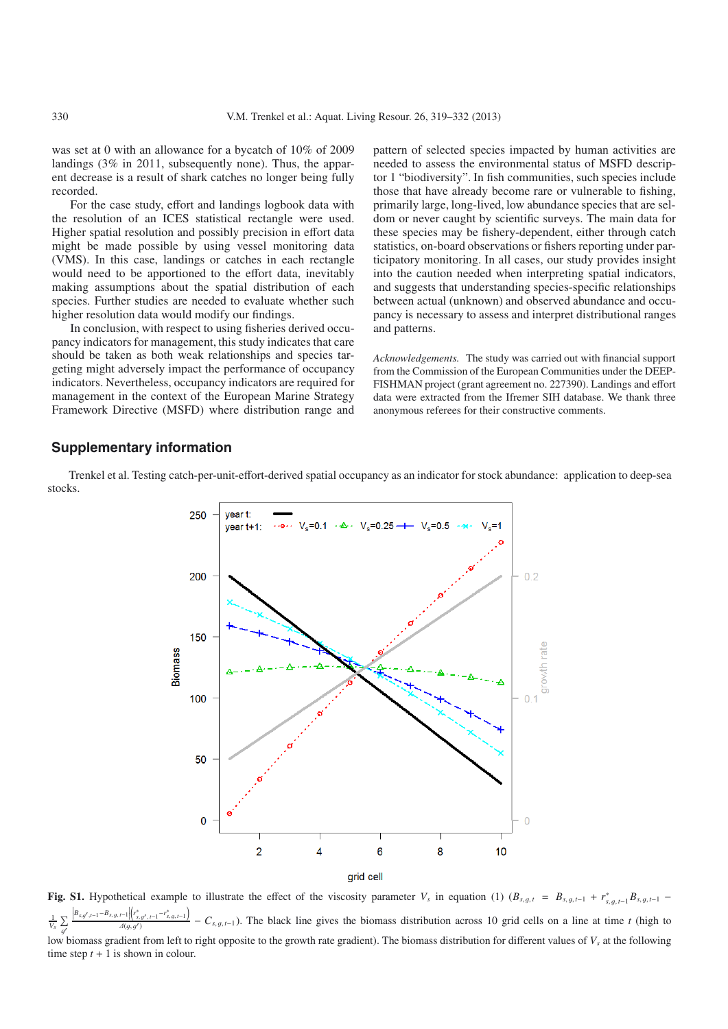was set at 0 with an allowance for a bycatch of 10% of 2009 landings (3% in 2011, subsequently none). Thus, the apparent decrease is a result of shark catches no longer being fully recorded.

For the case study, effort and landings logbook data with the resolution of an ICES statistical rectangle were used. Higher spatial resolution and possibly precision in effort data might be made possible by using vessel monitoring data (VMS). In this case, landings or catches in each rectangle would need to be apportioned to the effort data, inevitably making assumptions about the spatial distribution of each species. Further studies are needed to evaluate whether such higher resolution data would modify our findings.

In conclusion, with respect to using fisheries derived occupancy indicators for management, this study indicates that care should be taken as both weak relationships and species targeting might adversely impact the performance of occupancy indicators. Nevertheless, occupancy indicators are required for management in the context of the European Marine Strategy Framework Directive (MSFD) where distribution range and

pattern of selected species impacted by human activities are needed to assess the environmental status of MSFD descriptor 1 "biodiversity". In fish communities, such species include those that have already become rare or vulnerable to fishing, primarily large, long-lived, low abundance species that are seldom or never caught by scientific surveys. The main data for these species may be fishery-dependent, either through catch statistics, on-board observations or fishers reporting under participatory monitoring. In all cases, our study provides insight into the caution needed when interpreting spatial indicators, and suggests that understanding species-specific relationships between actual (unknown) and observed abundance and occupancy is necessary to assess and interpret distributional ranges and patterns.

*Acknowledgements.* The study was carried out with financial support from the Commission of the European Communities under the DEEP-FISHMAN project (grant agreement no. 227390). Landings and effort data were extracted from the Ifremer SIH database. We thank three anonymous referees for their constructive comments.

## **Supplementary information**

Trenkel et al. Testing catch-per-unit-effort-derived spatial occupancy as an indicator for stock abundance: application to deep-sea stocks.



Fig. S1. Hypothetical example to illustrate the effect of the viscosity parameter  $V_s$  in equation (1)  $(B_{s,g,t} = B_{s,g,t-1} + r_{s,g,t-1}^* B_{s,g,t-1} -$ 1 *Vs* Σ low biomass gradient from left to right opposite to the growth rate gradient). The biomass distribution for different values of  $V_s$  at the following  $\frac{|B_{s,g',t-1}-B_{s,g,t-1}|_{(x,g',t-1}-r^*_{s,g,t-1})|}{A(g,g')}$  –  $C_{s,g,t-1}$ ). The black line gives the biomass distribution across 10 grid cells on a line at time t (high to time step  $t + 1$  is shown in colour.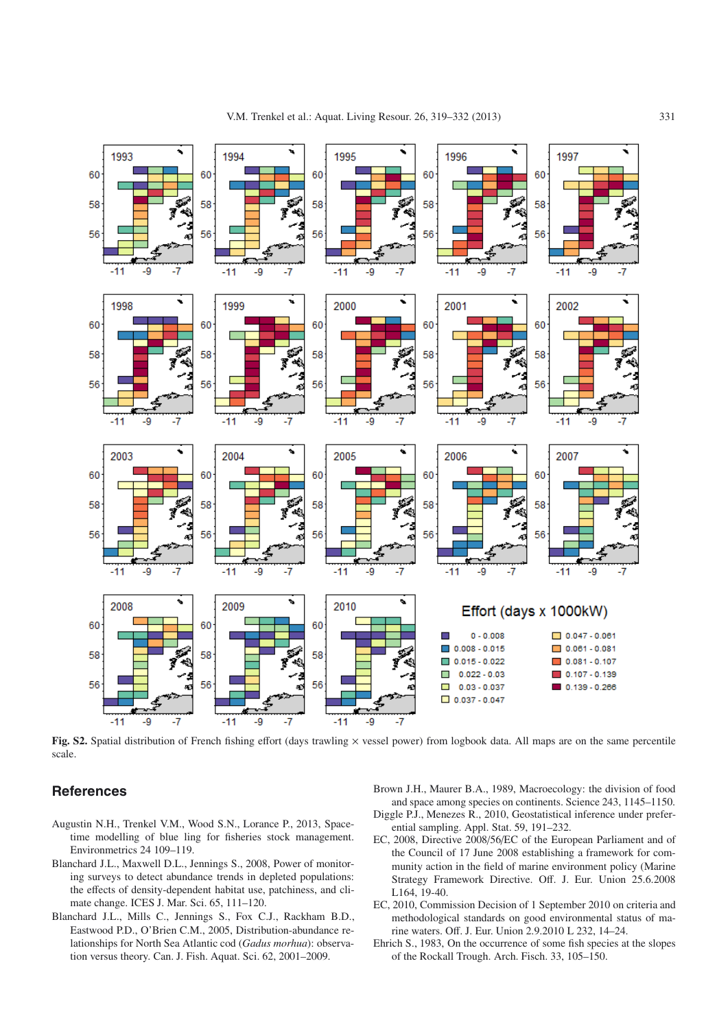

**Fig. S2.** Spatial distribution of French fishing effort (days trawling × vessel power) from logbook data. All maps are on the same percentile scale.

## **References**

- <span id="page-12-5"></span>Augustin N.H., Trenkel V.M., Wood S.N., Lorance P., 2013, Spacetime modelling of blue ling for fisheries stock management. Environmetrics 24 109–119.
- <span id="page-12-7"></span>Blanchard J.L., Maxwell D.L., Jennings S., 2008, Power of monitoring surveys to detect abundance trends in depleted populations: the effects of density-dependent habitat use, patchiness, and climate change. ICES J. Mar. Sci. 65, 111–120.
- <span id="page-12-3"></span>Blanchard J.L., Mills C., Jennings S., Fox C.J., Rackham B.D., Eastwood P.D., O'Brien C.M., 2005, Distribution-abundance relationships for North Sea Atlantic cod (*Gadus morhua*): observation versus theory. Can. J. Fish. Aquat. Sci. 62, 2001–2009.
- <span id="page-12-1"></span>Brown J.H., Maurer B.A., 1989, Macroecology: the division of food and space among species on continents. Science 243, 1145–1150.
- <span id="page-12-4"></span>Diggle P.J., Menezes R., 2010, Geostatistical inference under preferential sampling. Appl. Stat. 59, 191–232.
- <span id="page-12-0"></span>EC, 2008, Directive 2008/56/EC of the European Parliament and of the Council of 17 June 2008 establishing a framework for community action in the field of marine environment policy (Marine Strategy Framework Directive. Off. J. Eur. Union 25.6.2008 L164, 19-40.
- <span id="page-12-2"></span>EC, 2010, Commission Decision of 1 September 2010 on criteria and methodological standards on good environmental status of marine waters. Off. J. Eur. Union 2.9.2010 L 232, 14–24.
- <span id="page-12-6"></span>Ehrich S., 1983, On the occurrence of some fish species at the slopes of the Rockall Trough. Arch. Fisch. 33, 105–150.